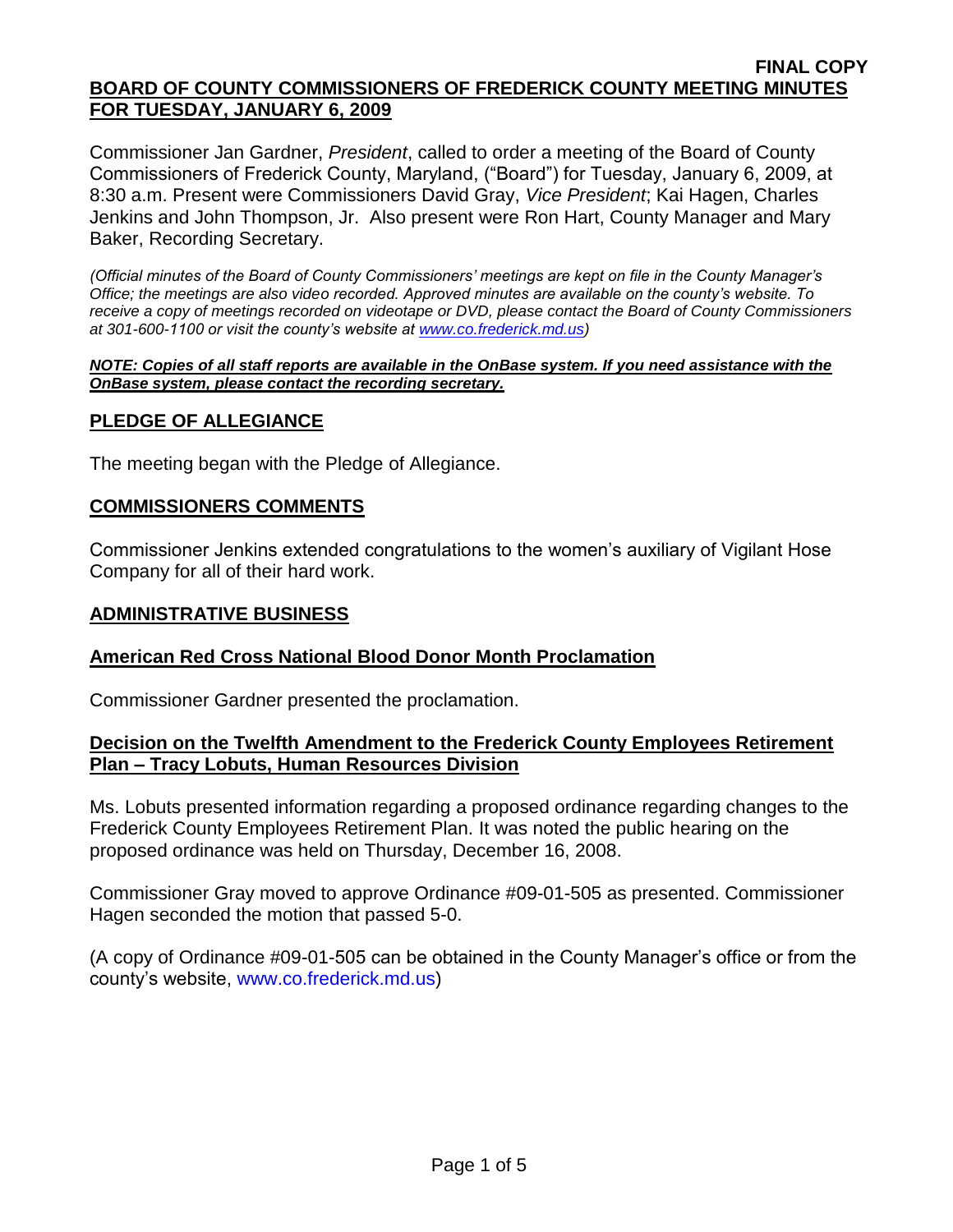Commissioner Jan Gardner, *President*, called to order a meeting of the Board of County Commissioners of Frederick County, Maryland, ("Board") for Tuesday, January 6, 2009, at 8:30 a.m. Present were Commissioners David Gray, *Vice President*; Kai Hagen, Charles Jenkins and John Thompson, Jr. Also present were Ron Hart, County Manager and Mary Baker, Recording Secretary.

*(Official minutes of the Board of County Commissioners' meetings are kept on file in the County Manager's Office; the meetings are also video recorded. Approved minutes are available on the county's website. To receive a copy of meetings recorded on videotape or DVD, please contact the Board of County Commissioners at 301-600-1100 or visit the county's website at [www.co.frederick.md.us\)](http://www.co.frederick.md.us/)*

#### *NOTE: Copies of all staff reports are available in the OnBase system. If you need assistance with the OnBase system, please contact the recording secretary.*

# **PLEDGE OF ALLEGIANCE**

The meeting began with the Pledge of Allegiance.

## **COMMISSIONERS COMMENTS**

Commissioner Jenkins extended congratulations to the women's auxiliary of Vigilant Hose Company for all of their hard work.

#### **ADMINISTRATIVE BUSINESS**

## **American Red Cross National Blood Donor Month Proclamation**

Commissioner Gardner presented the proclamation.

## **Decision on the Twelfth Amendment to the Frederick County Employees Retirement Plan – Tracy Lobuts, Human Resources Division**

Ms. Lobuts presented information regarding a proposed ordinance regarding changes to the Frederick County Employees Retirement Plan. It was noted the public hearing on the proposed ordinance was held on Thursday, December 16, 2008.

Commissioner Gray moved to approve Ordinance #09-01-505 as presented. Commissioner Hagen seconded the motion that passed 5-0.

(A copy of Ordinance #09-01-505 can be obtained in the County Manager's office or from the county's website, [www.co.frederick.md.us\)](www.co.frederick.md.us)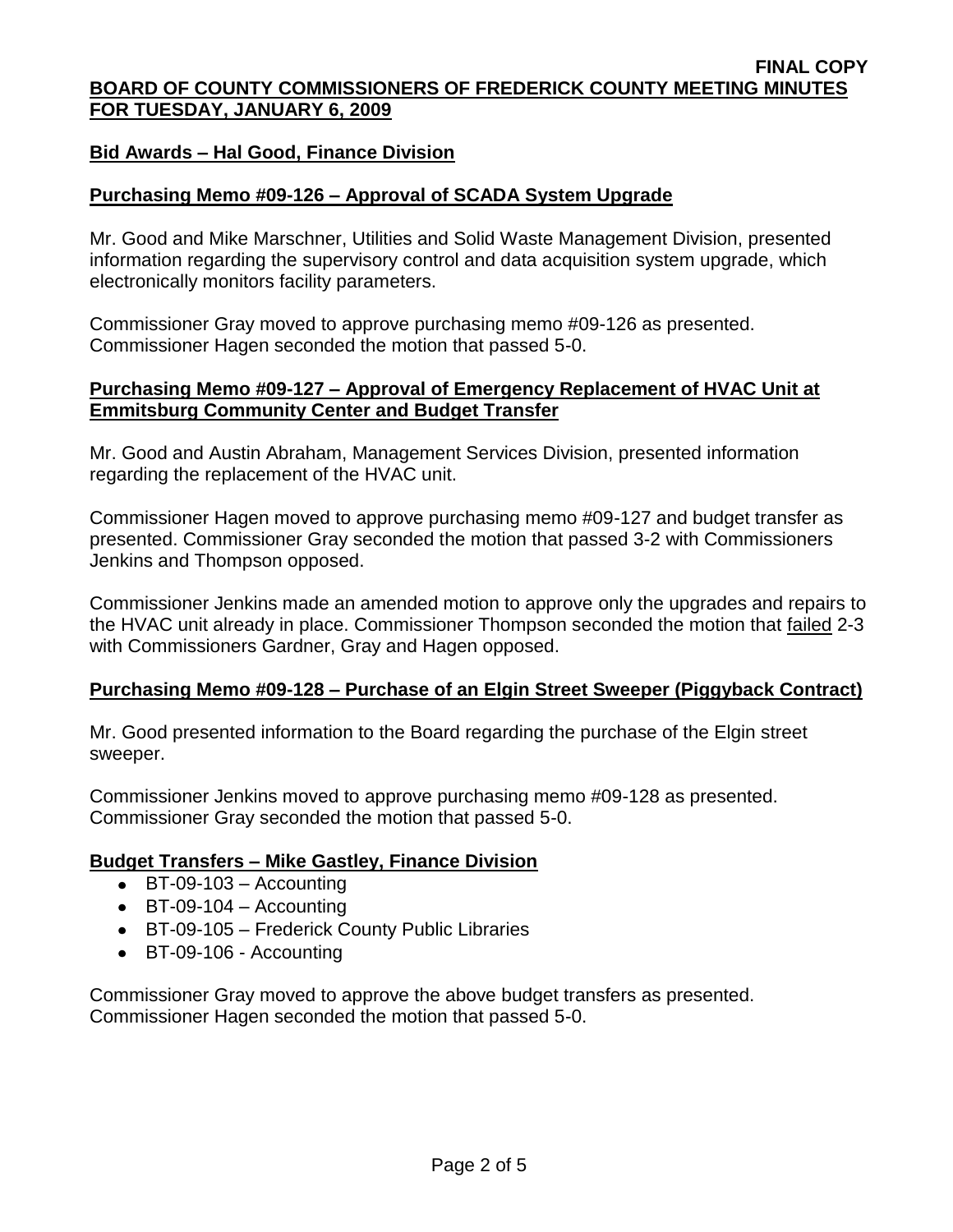## **Bid Awards – Hal Good, Finance Division**

## **Purchasing Memo #09-126 – Approval of SCADA System Upgrade**

Mr. Good and Mike Marschner, Utilities and Solid Waste Management Division, presented information regarding the supervisory control and data acquisition system upgrade, which electronically monitors facility parameters.

Commissioner Gray moved to approve purchasing memo #09-126 as presented. Commissioner Hagen seconded the motion that passed 5-0.

#### **Purchasing Memo #09-127 – Approval of Emergency Replacement of HVAC Unit at Emmitsburg Community Center and Budget Transfer**

Mr. Good and Austin Abraham, Management Services Division, presented information regarding the replacement of the HVAC unit.

Commissioner Hagen moved to approve purchasing memo #09-127 and budget transfer as presented. Commissioner Gray seconded the motion that passed 3-2 with Commissioners Jenkins and Thompson opposed.

Commissioner Jenkins made an amended motion to approve only the upgrades and repairs to the HVAC unit already in place. Commissioner Thompson seconded the motion that failed 2-3 with Commissioners Gardner, Gray and Hagen opposed.

## **Purchasing Memo #09-128 – Purchase of an Elgin Street Sweeper (Piggyback Contract)**

Mr. Good presented information to the Board regarding the purchase of the Elgin street sweeper.

Commissioner Jenkins moved to approve purchasing memo #09-128 as presented. Commissioner Gray seconded the motion that passed 5-0.

#### **Budget Transfers – Mike Gastley, Finance Division**

- $\bullet$  BT-09-103 Accounting
- $\bullet$  BT-09-104 Accounting
- BT-09-105 Frederick County Public Libraries
- BT-09-106 Accounting

Commissioner Gray moved to approve the above budget transfers as presented. Commissioner Hagen seconded the motion that passed 5-0.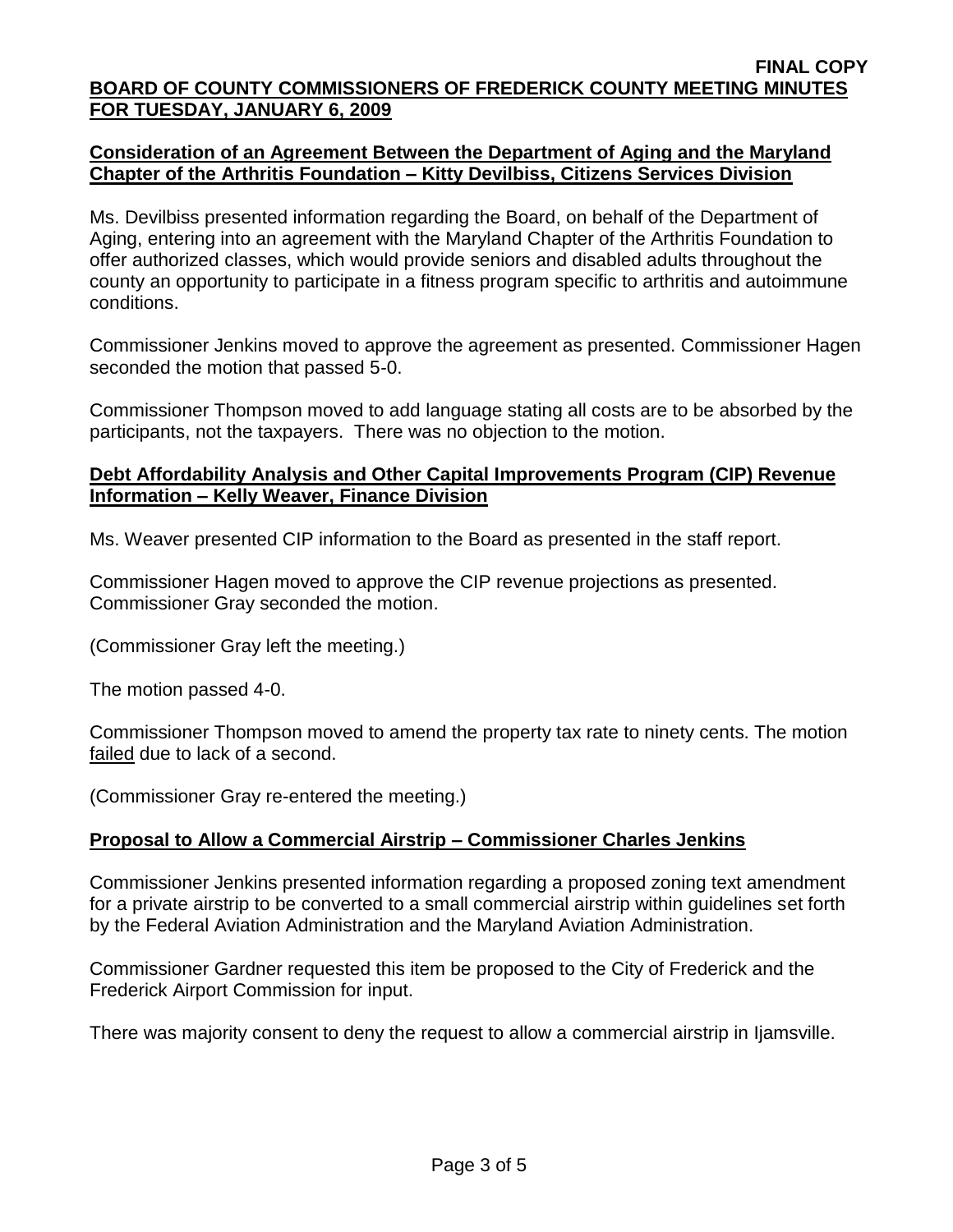## **Consideration of an Agreement Between the Department of Aging and the Maryland Chapter of the Arthritis Foundation – Kitty Devilbiss, Citizens Services Division**

Ms. Devilbiss presented information regarding the Board, on behalf of the Department of Aging, entering into an agreement with the Maryland Chapter of the Arthritis Foundation to offer authorized classes, which would provide seniors and disabled adults throughout the county an opportunity to participate in a fitness program specific to arthritis and autoimmune conditions.

Commissioner Jenkins moved to approve the agreement as presented. Commissioner Hagen seconded the motion that passed 5-0.

Commissioner Thompson moved to add language stating all costs are to be absorbed by the participants, not the taxpayers. There was no objection to the motion.

## **Debt Affordability Analysis and Other Capital Improvements Program (CIP) Revenue Information – Kelly Weaver, Finance Division**

Ms. Weaver presented CIP information to the Board as presented in the staff report.

Commissioner Hagen moved to approve the CIP revenue projections as presented. Commissioner Gray seconded the motion.

(Commissioner Gray left the meeting.)

The motion passed 4-0.

Commissioner Thompson moved to amend the property tax rate to ninety cents. The motion failed due to lack of a second.

(Commissioner Gray re-entered the meeting.)

# **Proposal to Allow a Commercial Airstrip – Commissioner Charles Jenkins**

Commissioner Jenkins presented information regarding a proposed zoning text amendment for a private airstrip to be converted to a small commercial airstrip within guidelines set forth by the Federal Aviation Administration and the Maryland Aviation Administration.

Commissioner Gardner requested this item be proposed to the City of Frederick and the Frederick Airport Commission for input.

There was majority consent to deny the request to allow a commercial airstrip in Ijamsville.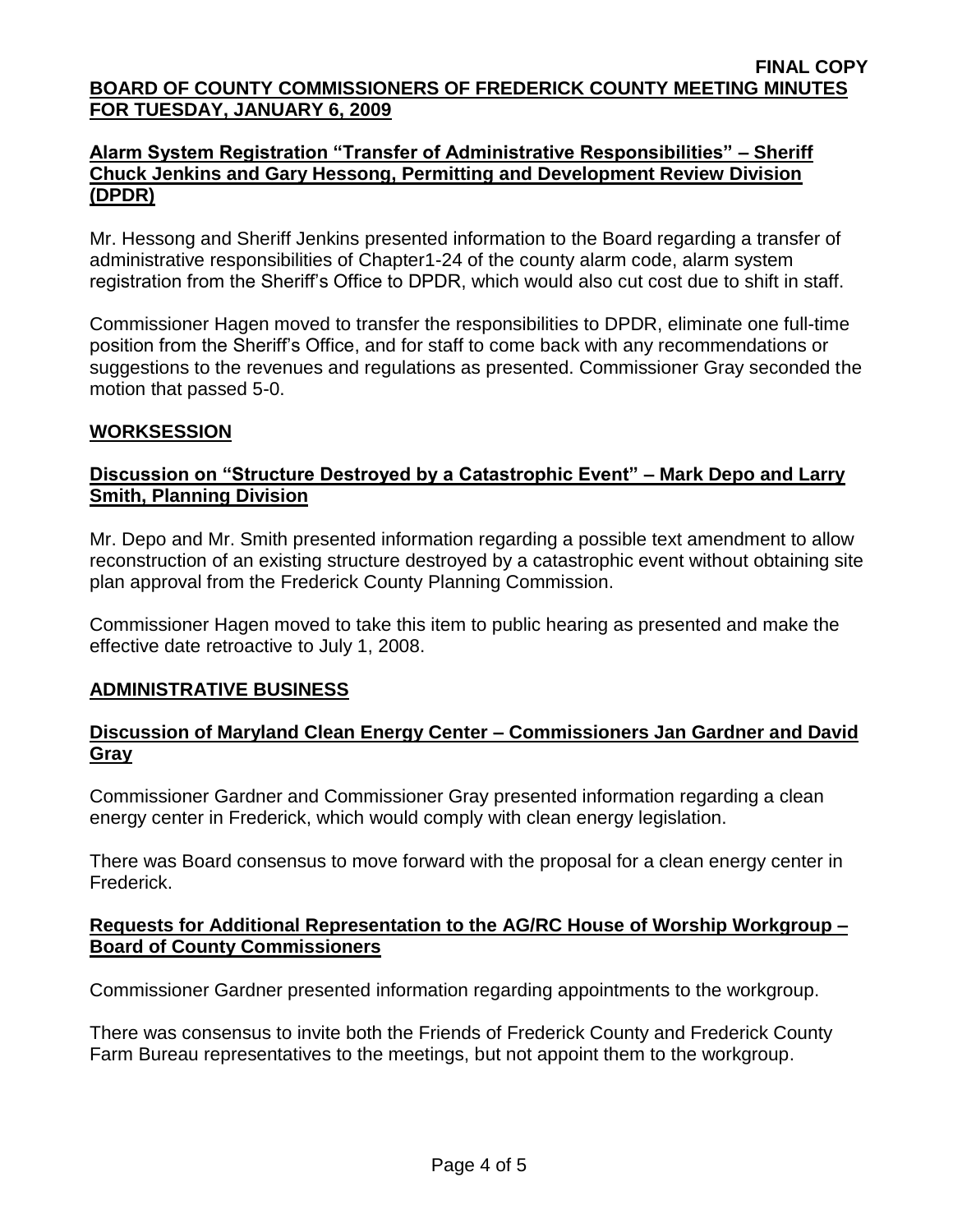## **Alarm System Registration "Transfer of Administrative Responsibilities" – Sheriff Chuck Jenkins and Gary Hessong, Permitting and Development Review Division (DPDR)**

Mr. Hessong and Sheriff Jenkins presented information to the Board regarding a transfer of administrative responsibilities of Chapter1-24 of the county alarm code, alarm system registration from the Sheriff's Office to DPDR, which would also cut cost due to shift in staff.

Commissioner Hagen moved to transfer the responsibilities to DPDR, eliminate one full-time position from the Sheriff's Office, and for staff to come back with any recommendations or suggestions to the revenues and regulations as presented. Commissioner Gray seconded the motion that passed 5-0.

## **WORKSESSION**

# **Discussion on "Structure Destroyed by a Catastrophic Event" – Mark Depo and Larry Smith, Planning Division**

Mr. Depo and Mr. Smith presented information regarding a possible text amendment to allow reconstruction of an existing structure destroyed by a catastrophic event without obtaining site plan approval from the Frederick County Planning Commission.

Commissioner Hagen moved to take this item to public hearing as presented and make the effective date retroactive to July 1, 2008.

## **ADMINISTRATIVE BUSINESS**

## **Discussion of Maryland Clean Energy Center – Commissioners Jan Gardner and David Gray**

Commissioner Gardner and Commissioner Gray presented information regarding a clean energy center in Frederick, which would comply with clean energy legislation.

There was Board consensus to move forward with the proposal for a clean energy center in Frederick.

#### **Requests for Additional Representation to the AG/RC House of Worship Workgroup – Board of County Commissioners**

Commissioner Gardner presented information regarding appointments to the workgroup.

There was consensus to invite both the Friends of Frederick County and Frederick County Farm Bureau representatives to the meetings, but not appoint them to the workgroup.